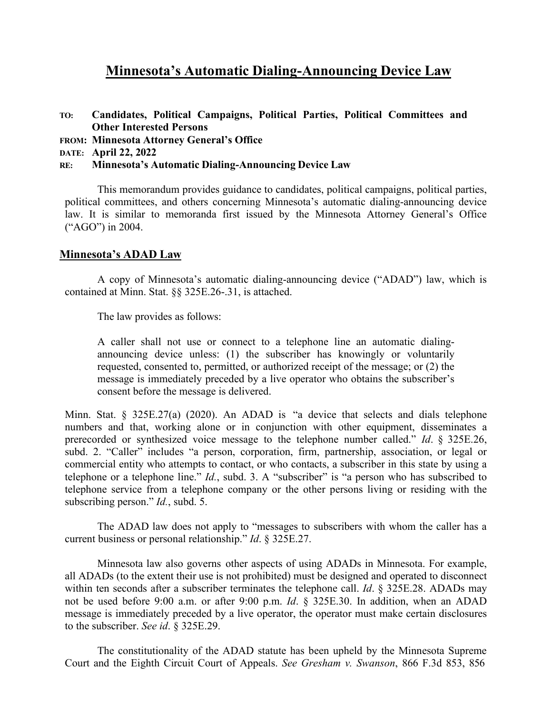# **Minnesota's Automatic Dialing-Announcing Device Law**

- **TO: Candidates, Political Campaigns, Political Parties, Political Committees and Other Interested Persons**
- **FROM: Minnesota Attorney General's Office**
- **DATE: April 22, 2022**
- **RE: Minnesota's Automatic Dialing-Announcing Device Law**

This memorandum provides guidance to candidates, political campaigns, political parties, political committees, and others concerning Minnesota's automatic dialing-announcing device law. It is similar to memoranda first issued by the Minnesota Attorney General's Office ("AGO") in 2004.

### **Minnesota's ADAD Law**

A copy of Minnesota's automatic dialing-announcing device ("ADAD") law, which is contained at Minn. Stat. §§ [325E.26-.31, i](https://325e.26-.31/)s attached.

The law provides as follows:

A caller shall not use or connect to a telephone line an automatic dialingannouncing device unless: (1) the subscriber has knowingly or voluntarily requested, consented to, permitted, or authorized receipt of the message; or (2) the message is immediately preceded by a live operator who obtains the subscriber's consent before the message is delivered.

Minn. Stat. § 325E.27(a) (2020). An ADAD is "a device that selects and dials telephone numbers and that, working alone or in conjunction with other equipment, disseminates a prerecorded or synthesized voice message to the telephone number called." *Id*. § 325E.26, subd. 2. "Caller" includes "a person, corporation, firm, partnership, association, or legal or commercial entity who attempts to contact, or who contacts, a subscriber in this state by using a telephone or a telephone line." *Id.*, subd. 3. A "subscriber" is "a person who has subscribed to telephone service from a telephone company or the other persons living or residing with the subscribing person." *Id.*, subd. 5.

The ADAD law does not apply to "messages to subscribers with whom the caller has a current business or personal relationship." *Id*. § 325E.27.

Minnesota law also governs other aspects of using ADADs in Minnesota. For example, all ADADs (to the extent their use is not prohibited) must be designed and operated to disconnect within ten seconds after a subscriber terminates the telephone call. *Id*. § 325E.28. ADADs may not be used before 9:00 a.m. or after 9:00 p.m. *Id*. § 325E.30. In addition, when an ADAD message is immediately preceded by a live operator, the operator must make certain disclosures to the subscriber. *See id*. § 325E.29.

The constitutionality of the ADAD statute has been upheld by the Minnesota Supreme Court and the Eighth Circuit Court of Appeals. *See Gresham v. Swanson*, 866 F.3d 853, 856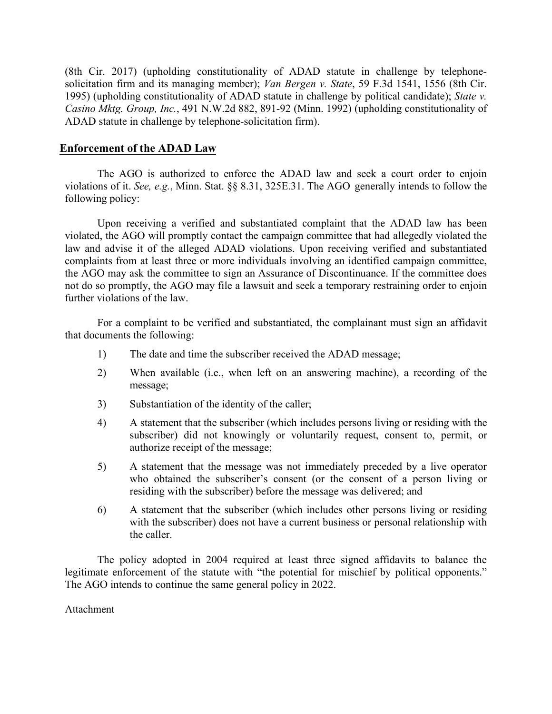(8th Cir. 2017) (upholding constitutionality of ADAD statute in challenge by telephonesolicitation firm and its managing member); *Van Bergen v. State*, 59 F.3d 1541, 1556 (8th Cir. 1995) (upholding constitutionality of ADAD statute in challenge by political candidate); *State v. Casino Mktg. Group, Inc.*, 491 N.W.2d 882, 891-92 (Minn. 1992) (upholding constitutionality of ADAD statute in challenge by telephone-solicitation firm).

# **Enforcement of the ADAD Law**

The AGO is authorized to enforce the ADAD law and seek a court order to enjoin violations of it. *See, e.g.*, Minn. Stat. §§ 8.31, 325E.31. The AGO generally intends to follow the following policy:

Upon receiving a verified and substantiated complaint that the ADAD law has been violated, the AGO will promptly contact the campaign committee that had allegedly violated the law and advise it of the alleged ADAD violations. Upon receiving verified and substantiated complaints from at least three or more individuals involving an identified campaign committee, the AGO may ask the committee to sign an Assurance of Discontinuance. If the committee does not do so promptly, the AGO may file a lawsuit and seek a temporary restraining order to enjoin further violations of the law.

For a complaint to be verified and substantiated, the complainant must sign an affidavit that documents the following:

- 1) The date and time the subscriber received the ADAD message;
- 2) When available (i.e., when left on an answering machine), a recording of the message;
- 3) Substantiation of the identity of the caller;
- 4) A statement that the subscriber (which includes persons living or residing with the subscriber) did not knowingly or voluntarily request, consent to, permit, or authorize receipt of the message;
- 5) A statement that the message was not immediately preceded by a live operator who obtained the subscriber's consent (or the consent of a person living or residing with the subscriber) before the message was delivered; and
- 6) A statement that the subscriber (which includes other persons living or residing with the subscriber) does not have a current business or personal relationship with the caller.

The policy adopted in 2004 required at least three signed affidavits to balance the legitimate enforcement of the statute with "the potential for mischief by political opponents." The AGO intends to continue the same general policy in 2022.

Attachment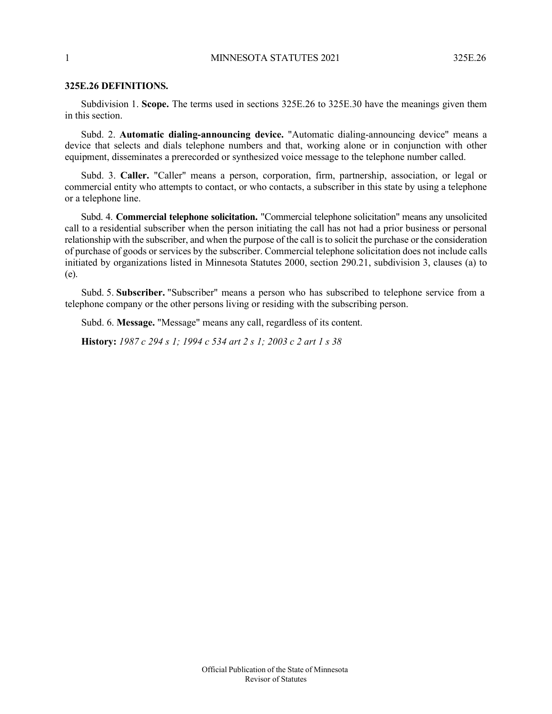#### 1 MINNESOTA STATUTES 2021 325E.26

#### **325E.26 DEFINITIONS.**

Subdivision 1. **Scope.** The terms used in sections 325E.26 to 325E.30 have the meanings given them in this section.

Subd. 2. **Automatic dialing-announcing device.** "Automatic dialing-announcing device" means a device that selects and dials telephone numbers and that, working alone or in conjunction with other equipment, disseminates a prerecorded or synthesized voice message to the telephone number called.

Subd. 3. **Caller.** "Caller" means a person, corporation, firm, partnership, association, or legal or commercial entity who attempts to contact, or who contacts, a subscriber in this state by using a telephone or a telephone line.

Subd. 4. **Commercial telephone solicitation.** "Commercial telephone solicitation" means any unsolicited call to a residential subscriber when the person initiating the call has not had a prior business or personal relationship with the subscriber, and when the purpose of the call is to solicit the purchase or the consideration of purchase of goods or services by the subscriber. Commercial telephone solicitation does not include calls initiated by organizations listed in Minnesota Statutes 2000, section 290.21, subdivision 3, clauses (a) to (e).

Subd. 5. **Subscriber.** "Subscriber" means a person who has subscribed to telephone service from a telephone company or the other persons living or residing with the subscribing person.

Subd. 6. **Message.** "Message" means any call, regardless of its content.

**History:** *1987 c 294 s 1; 1994 c 534 art 2 s 1; 2003 c 2 art 1 s 38*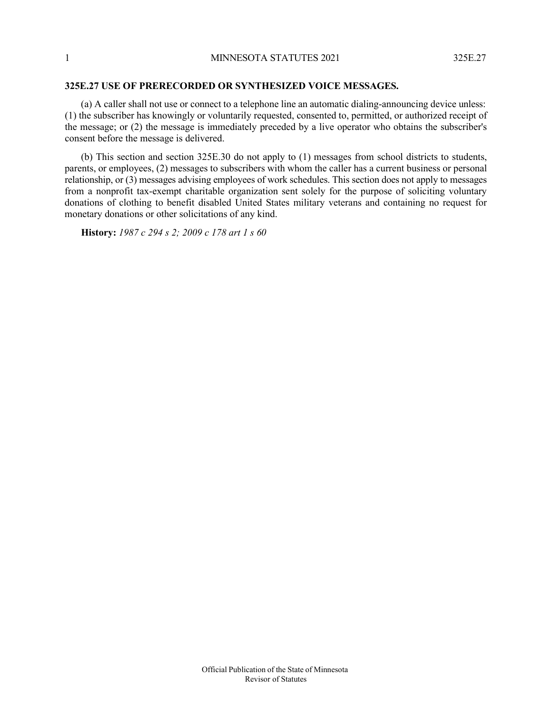#### **325E.27 USE OF PRERECORDED OR SYNTHESIZED VOICE MESSAGES.**

(a) A caller shall not use or connect to a telephone line an automatic dialing-announcing device unless: (1) the subscriber has knowingly or voluntarily requested, consented to, permitted, or authorized receipt of the message; or (2) the message is immediately preceded by a live operator who obtains the subscriber's consent before the message is delivered.

(b) This section and section 325E.30 do not apply to (1) messages from school districts to students, parents, or employees, (2) messages to subscribers with whom the caller has a current business or personal relationship, or (3) messages advising employees of work schedules. This section does not apply to messages from a nonprofit tax-exempt charitable organization sent solely for the purpose of soliciting voluntary donations of clothing to benefit disabled United States military veterans and containing no request for monetary donations or other solicitations of any kind.

**History:** *1987 c 294 s 2; 2009 c 178 art 1 s 60*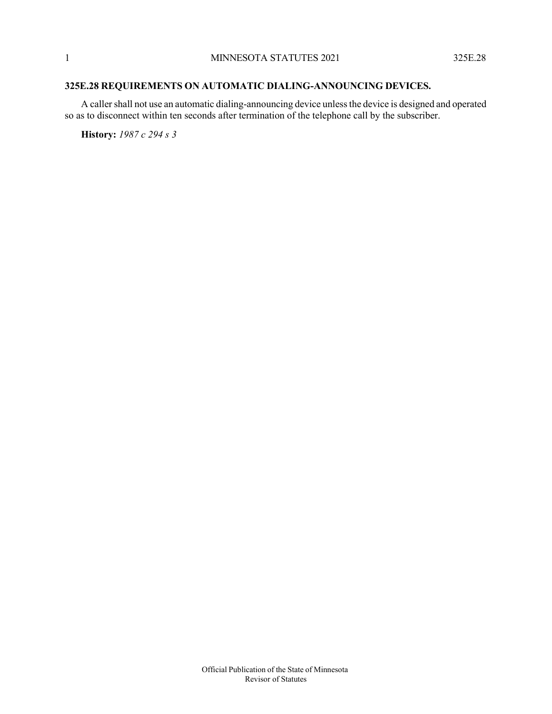# **325E.28 REQUIREMENTS ON AUTOMATIC DIALING-ANNOUNCING DEVICES.**

A caller shall not use an automatic dialing-announcing device unless the device is designed and operated so as to disconnect within ten seconds after termination of the telephone call by the subscriber.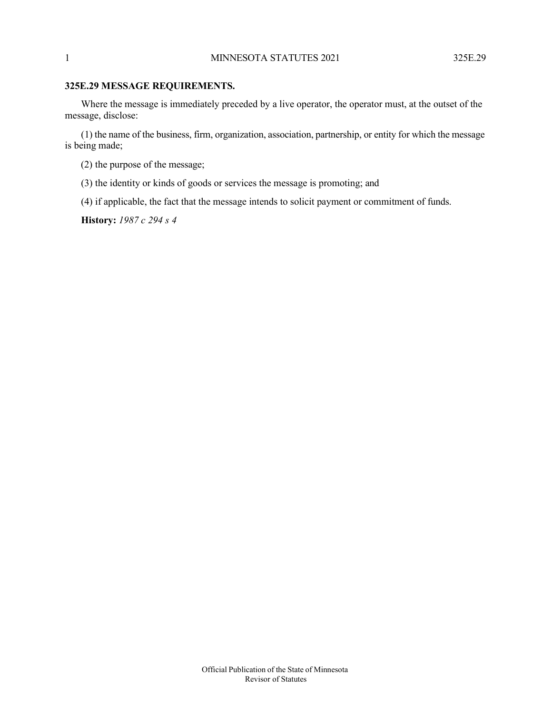#### **325E.29 MESSAGE REQUIREMENTS.**

Where the message is immediately preceded by a live operator, the operator must, at the outset of the message, disclose:

(1) the name of the business, firm, organization, association, partnership, or entity for which the message is being made;

- (2) the purpose of the message;
- (3) the identity or kinds of goods or services the message is promoting; and
- (4) if applicable, the fact that the message intends to solicit payment or commitment of funds.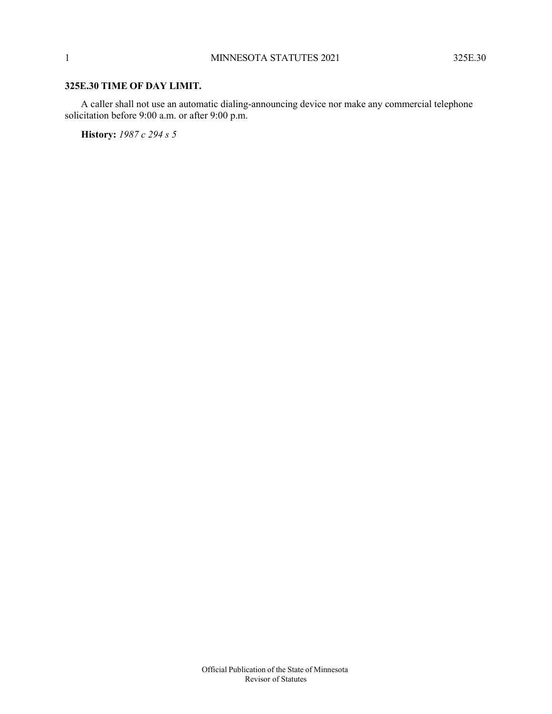### **325E.30 TIME OF DAY LIMIT.**

A caller shall not use an automatic dialing-announcing device nor make any commercial telephone solicitation before 9:00 a.m. or after 9:00 p.m.